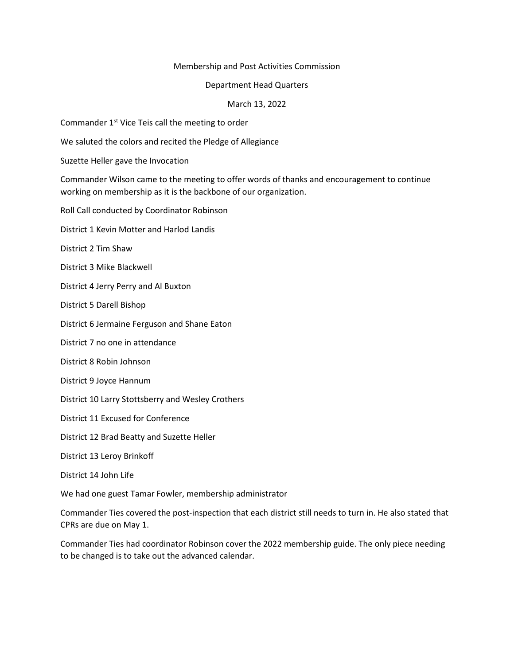## Membership and Post Activities Commission

## Department Head Quarters

## March 13, 2022

Commander 1<sup>st</sup> Vice Teis call the meeting to order

We saluted the colors and recited the Pledge of Allegiance

Suzette Heller gave the Invocation

Commander Wilson came to the meeting to offer words of thanks and encouragement to continue working on membership as it is the backbone of our organization.

Roll Call conducted by Coordinator Robinson

District 1 Kevin Motter and Harlod Landis

District 2 Tim Shaw

District 3 Mike Blackwell

District 4 Jerry Perry and Al Buxton

District 5 Darell Bishop

District 6 Jermaine Ferguson and Shane Eaton

District 7 no one in attendance

District 8 Robin Johnson

District 9 Joyce Hannum

District 10 Larry Stottsberry and Wesley Crothers

District 11 Excused for Conference

District 12 Brad Beatty and Suzette Heller

District 13 Leroy Brinkoff

District 14 John Life

We had one guest Tamar Fowler, membership administrator

Commander Ties covered the post-inspection that each district still needs to turn in. He also stated that CPRs are due on May 1.

Commander Ties had coordinator Robinson cover the 2022 membership guide. The only piece needing to be changed is to take out the advanced calendar.